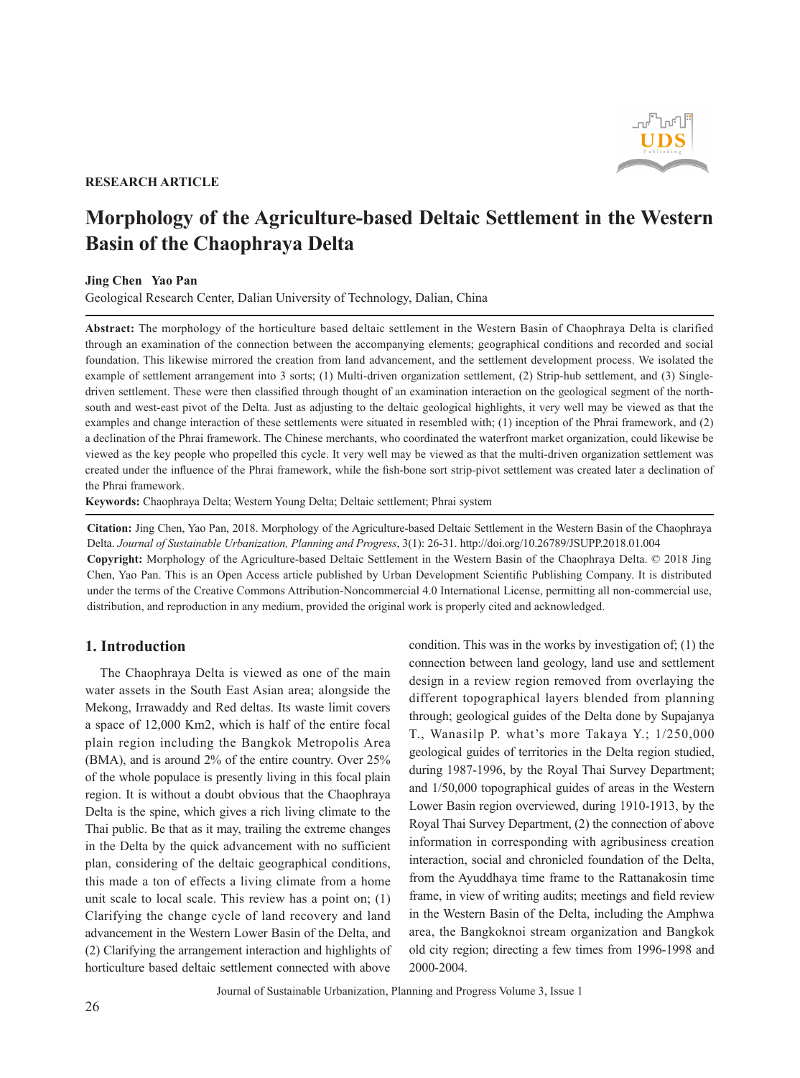

### **RESEARCH ARTICLE**

# **Morphology of the Agriculture-based Deltaic Settlement in the Western Basin of the Chaophraya Delta**

#### **Jing Chen Yao Pan**

Geological Research Center, Dalian University of Technology, Dalian, China

**Abstract:** The morphology of the horticulture based deltaic settlement in the Western Basin of Chaophraya Delta is clarified through an examination of the connection between the accompanying elements; geographical conditions and recorded and social foundation. This likewise mirrored the creation from land advancement, and the settlement development process. We isolated the example of settlement arrangement into 3 sorts; (1) Multi-driven organization settlement, (2) Strip-hub settlement, and (3) Singledriven settlement. These were then classified through thought of an examination interaction on the geological segment of the northsouth and west-east pivot of the Delta. Just as adjusting to the deltaic geological highlights, it very well may be viewed as that the examples and change interaction of these settlements were situated in resembled with; (1) inception of the Phrai framework, and (2) a declination of the Phrai framework. The Chinese merchants, who coordinated the waterfront market organization, could likewise be viewed as the key people who propelled this cycle. It very well may be viewed as that the multi-driven organization settlement was created under the influence of the Phrai framework, while the fish-bone sort strip-pivot settlement was created later a declination of the Phrai framework.

**Keywords:** Chaophraya Delta; Western Young Delta; Deltaic settlement; Phrai system

**Citation:** Jing Chen, Yao Pan, 2018. Morphology of the Agriculture-based Deltaic Settlement in the Western Basin of the Chaophraya Delta. *Journal of Sustainable Urbanization, Planning and Progress*, 3(1): 26-31. http://doi.org/10.26789/JSUPP.2018.01.004 **Copyright:** Morphology of the Agriculture-based Deltaic Settlement in the Western Basin of the Chaophraya Delta. © 2018 Jing Chen, Yao Pan. This is an Open Access article published by Urban Development Scientific Publishing Company. It is distributed under the terms of the Creative Commons Attribution-Noncommercial 4.0 International License, permitting all non-commercial use, distribution, and reproduction in any medium, provided the original work is properly cited and acknowledged.

## **1. Introduction**

The Chaophraya Delta is viewed as one of the main water assets in the South East Asian area; alongside the Mekong, Irrawaddy and Red deltas. Its waste limit covers a space of 12,000 Km2, which is half of the entire focal plain region including the Bangkok Metropolis Area (BMA), and is around 2% of the entire country. Over 25% of the whole populace is presently living in this focal plain region. It is without a doubt obvious that the Chaophraya Delta is the spine, which gives a rich living climate to the Thai public. Be that as it may, trailing the extreme changes in the Delta by the quick advancement with no sufficient plan, considering of the deltaic geographical conditions, this made a ton of effects a living climate from a home unit scale to local scale. This review has a point on; (1) Clarifying the change cycle of land recovery and land advancement in the Western Lower Basin of the Delta, and (2) Clarifying the arrangement interaction and highlights of horticulture based deltaic settlement connected with above condition. This was in the works by investigation of; (1) the connection between land geology, land use and settlement design in a review region removed from overlaying the different topographical layers blended from planning through; geological guides of the Delta done by Supajanya T., Wanasilp P. what's more Takaya Y.; 1/250,000 geological guides of territories in the Delta region studied, during 1987-1996, by the Royal Thai Survey Department; and 1/50,000 topographical guides of areas in the Western Lower Basin region overviewed, during 1910-1913, by the Royal Thai Survey Department, (2) the connection of above information in corresponding with agribusiness creation interaction, social and chronicled foundation of the Delta, from the Ayuddhaya time frame to the Rattanakosin time frame, in view of writing audits; meetings and field review in the Western Basin of the Delta, including the Amphwa area, the Bangkoknoi stream organization and Bangkok old city region; directing a few times from 1996-1998 and 2000-2004.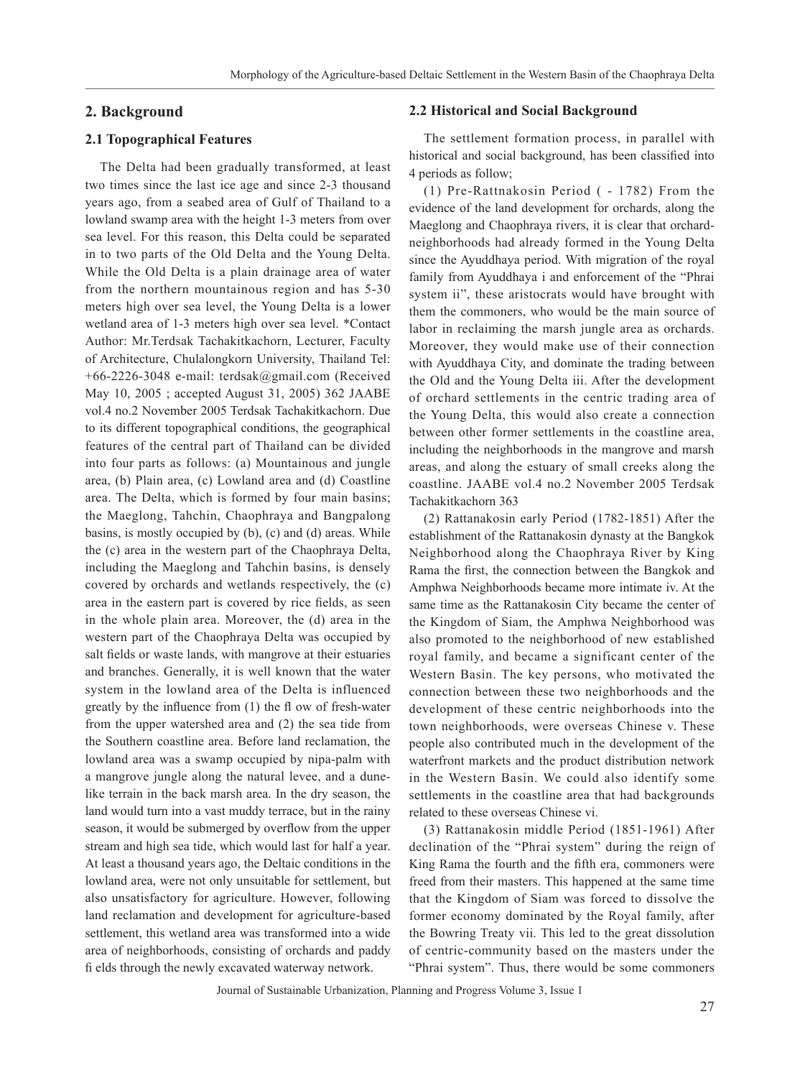## **2. Background**

## **2.1 Topographical Features**

The Delta had been gradually transformed, at least two times since the last ice age and since 2-3 thousand years ago, from a seabed area of Gulf of Thailand to a lowland swamp area with the height 1-3 meters from over sea level. For this reason, this Delta could be separated in to two parts of the Old Delta and the Young Delta. While the Old Delta is a plain drainage area of water from the northern mountainous region and has 5-30 meters high over sea level, the Young Delta is a lower wetland area of 1-3 meters high over sea level. \*Contact Author: Mr.Terdsak Tachakitkachorn, Lecturer, Faculty of Architecture, Chulalongkorn University, Thailand Tel: +66-2226-3048 e-mail: terdsak@gmail.com (Received May 10, 2005 ; accepted August 31, 2005) 362 JAABE vol.4 no.2 November 2005 Terdsak Tachakitkachorn. Due to its different topographical conditions, the geographical features of the central part of Thailand can be divided into four parts as follows: (a) Mountainous and jungle area, (b) Plain area, (c) Lowland area and (d) Coastline area. The Delta, which is formed by four main basins; the Maeglong, Tahchin, Chaophraya and Bangpalong basins, is mostly occupied by (b), (c) and (d) areas. While the (c) area in the western part of the Chaophraya Delta, including the Maeglong and Tahchin basins, is densely covered by orchards and wetlands respectively, the (c) area in the eastern part is covered by rice fields, as seen in the whole plain area. Moreover, the (d) area in the western part of the Chaophraya Delta was occupied by salt fields or waste lands, with mangrove at their estuaries and branches. Generally, it is well known that the water system in the lowland area of the Delta is influenced greatly by the influence from (1) the fl ow of fresh-water from the upper watershed area and (2) the sea tide from the Southern coastline area. Before land reclamation, the lowland area was a swamp occupied by nipa-palm with a mangrove jungle along the natural levee, and a dunelike terrain in the back marsh area. In the dry season, the land would turn into a vast muddy terrace, but in the rainy season, it would be submerged by overflow from the upper stream and high sea tide, which would last for half a year. At least a thousand years ago, the Deltaic conditions in the lowland area, were not only unsuitable for settlement, but also unsatisfactory for agriculture. However, following land reclamation and development for agriculture-based settlement, this wetland area was transformed into a wide area of neighborhoods, consisting of orchards and paddy fi elds through the newly excavated waterway network.

#### **2.2 Historical and Social Background**

The settlement formation process, in parallel with historical and social background, has been classified into 4 periods as follow;

(1) Pre-Rattnakosin Period ( - 1782) From the evidence of the land development for orchards, along the Maeglong and Chaophraya rivers, it is clear that orchardneighborhoods had already formed in the Young Delta since the Ayuddhaya period. With migration of the royal family from Ayuddhaya i and enforcement of the "Phrai system ii", these aristocrats would have brought with them the commoners, who would be the main source of labor in reclaiming the marsh jungle area as orchards. Moreover, they would make use of their connection with Ayuddhaya City, and dominate the trading between the Old and the Young Delta iii. After the development of orchard settlements in the centric trading area of the Young Delta, this would also create a connection between other former settlements in the coastline area, including the neighborhoods in the mangrove and marsh areas, and along the estuary of small creeks along the coastline. JAABE vol.4 no.2 November 2005 Terdsak Tachakitkachorn 363

(2) Rattanakosin early Period (1782-1851) After the establishment of the Rattanakosin dynasty at the Bangkok Neighborhood along the Chaophraya River by King Rama the first, the connection between the Bangkok and Amphwa Neighborhoods became more intimate iv. At the same time as the Rattanakosin City became the center of the Kingdom of Siam, the Amphwa Neighborhood was also promoted to the neighborhood of new established royal family, and became a significant center of the Western Basin. The key persons, who motivated the connection between these two neighborhoods and the development of these centric neighborhoods into the town neighborhoods, were overseas Chinese v. These people also contributed much in the development of the waterfront markets and the product distribution network in the Western Basin. We could also identify some settlements in the coastline area that had backgrounds related to these overseas Chinese vi.

(3) Rattanakosin middle Period (1851-1961) After declination of the "Phrai system" during the reign of King Rama the fourth and the fifth era, commoners were freed from their masters. This happened at the same time that the Kingdom of Siam was forced to dissolve the former economy dominated by the Royal family, after the Bowring Treaty vii. This led to the great dissolution of centric-community based on the masters under the "Phrai system". Thus, there would be some commoners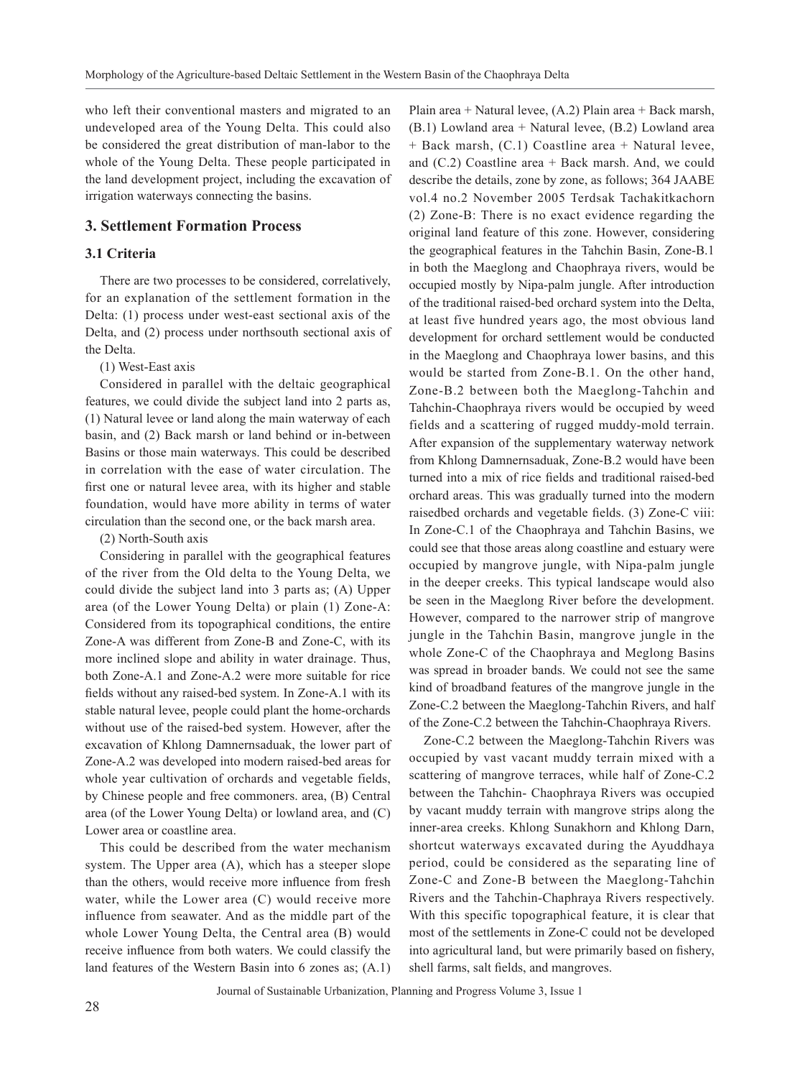who left their conventional masters and migrated to an undeveloped area of the Young Delta. This could also be considered the great distribution of man-labor to the whole of the Young Delta. These people participated in the land development project, including the excavation of irrigation waterways connecting the basins.

## **3. Settlement Formation Process**

## **3.1 Criteria**

There are two processes to be considered, correlatively, for an explanation of the settlement formation in the Delta: (1) process under west-east sectional axis of the Delta, and (2) process under northsouth sectional axis of the Delta.

#### (1) West-East axis

Considered in parallel with the deltaic geographical features, we could divide the subject land into 2 parts as, (1) Natural levee or land along the main waterway of each basin, and (2) Back marsh or land behind or in-between Basins or those main waterways. This could be described in correlation with the ease of water circulation. The first one or natural levee area, with its higher and stable foundation, would have more ability in terms of water circulation than the second one, or the back marsh area.

(2) North-South axis

Considering in parallel with the geographical features of the river from the Old delta to the Young Delta, we could divide the subject land into 3 parts as; (A) Upper area (of the Lower Young Delta) or plain (1) Zone-A: Considered from its topographical conditions, the entire Zone-A was different from Zone-B and Zone-C, with its more inclined slope and ability in water drainage. Thus, both Zone-A.1 and Zone-A.2 were more suitable for rice fields without any raised-bed system. In Zone-A.1 with its stable natural levee, people could plant the home-orchards without use of the raised-bed system. However, after the excavation of Khlong Damnernsaduak, the lower part of Zone-A.2 was developed into modern raised-bed areas for whole year cultivation of orchards and vegetable fields, by Chinese people and free commoners. area, (B) Central area (of the Lower Young Delta) or lowland area, and (C) Lower area or coastline area.

This could be described from the water mechanism system. The Upper area (A), which has a steeper slope than the others, would receive more influence from fresh water, while the Lower area (C) would receive more influence from seawater. And as the middle part of the whole Lower Young Delta, the Central area (B) would receive influence from both waters. We could classify the land features of the Western Basin into 6 zones as; (A.1)

Plain area + Natural levee, (A.2) Plain area + Back marsh, (B.1) Lowland area + Natural levee, (B.2) Lowland area + Back marsh, (C.1) Coastline area + Natural levee, and  $(C.2)$  Coastline area + Back marsh. And, we could describe the details, zone by zone, as follows; 364 JAABE vol.4 no.2 November 2005 Terdsak Tachakitkachorn (2) Zone-B: There is no exact evidence regarding the original land feature of this zone. However, considering the geographical features in the Tahchin Basin, Zone-B.1 in both the Maeglong and Chaophraya rivers, would be occupied mostly by Nipa-palm jungle. After introduction of the traditional raised-bed orchard system into the Delta, at least five hundred years ago, the most obvious land development for orchard settlement would be conducted in the Maeglong and Chaophraya lower basins, and this would be started from Zone-B.1. On the other hand, Zone-B.2 between both the Maeglong-Tahchin and Tahchin-Chaophraya rivers would be occupied by weed fields and a scattering of rugged muddy-mold terrain. After expansion of the supplementary waterway network from Khlong Damnernsaduak, Zone-B.2 would have been turned into a mix of rice fields and traditional raised-bed orchard areas. This was gradually turned into the modern raisedbed orchards and vegetable fields. (3) Zone-C viii: In Zone-C.1 of the Chaophraya and Tahchin Basins, we could see that those areas along coastline and estuary were occupied by mangrove jungle, with Nipa-palm jungle in the deeper creeks. This typical landscape would also be seen in the Maeglong River before the development. However, compared to the narrower strip of mangrove jungle in the Tahchin Basin, mangrove jungle in the whole Zone-C of the Chaophraya and Meglong Basins was spread in broader bands. We could not see the same kind of broadband features of the mangrove jungle in the Zone-C.2 between the Maeglong-Tahchin Rivers, and half of the Zone-C.2 between the Tahchin-Chaophraya Rivers.

Zone-C.2 between the Maeglong-Tahchin Rivers was occupied by vast vacant muddy terrain mixed with a scattering of mangrove terraces, while half of Zone-C.2 between the Tahchin- Chaophraya Rivers was occupied by vacant muddy terrain with mangrove strips along the inner-area creeks. Khlong Sunakhorn and Khlong Darn, shortcut waterways excavated during the Ayuddhaya period, could be considered as the separating line of Zone-C and Zone-B between the Maeglong-Tahchin Rivers and the Tahchin-Chaphraya Rivers respectively. With this specific topographical feature, it is clear that most of the settlements in Zone-C could not be developed into agricultural land, but were primarily based on fishery, shell farms, salt fields, and mangroves.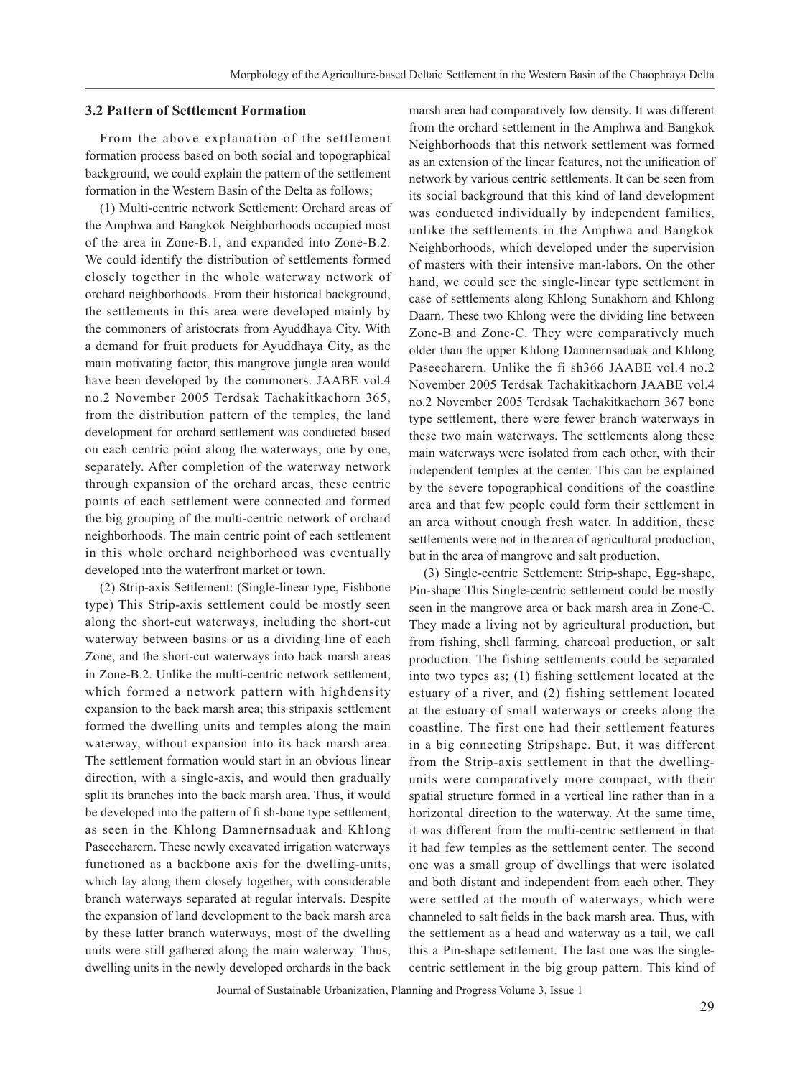#### **3.2 Pattern of Settlement Formation**

From the above explanation of the settlement formation process based on both social and topographical background, we could explain the pattern of the settlement formation in the Western Basin of the Delta as follows;

(1) Multi-centric network Settlement: Orchard areas of the Amphwa and Bangkok Neighborhoods occupied most of the area in Zone-B.1, and expanded into Zone-B.2. We could identify the distribution of settlements formed closely together in the whole waterway network of orchard neighborhoods. From their historical background, the settlements in this area were developed mainly by the commoners of aristocrats from Ayuddhaya City. With a demand for fruit products for Ayuddhaya City, as the main motivating factor, this mangrove jungle area would have been developed by the commoners. JAABE vol.4 no.2 November 2005 Terdsak Tachakitkachorn 365, from the distribution pattern of the temples, the land development for orchard settlement was conducted based on each centric point along the waterways, one by one, separately. After completion of the waterway network through expansion of the orchard areas, these centric points of each settlement were connected and formed the big grouping of the multi-centric network of orchard neighborhoods. The main centric point of each settlement in this whole orchard neighborhood was eventually developed into the waterfront market or town.

(2) Strip-axis Settlement: (Single-linear type, Fishbone type) This Strip-axis settlement could be mostly seen along the short-cut waterways, including the short-cut waterway between basins or as a dividing line of each Zone, and the short-cut waterways into back marsh areas in Zone-B.2. Unlike the multi-centric network settlement, which formed a network pattern with highdensity expansion to the back marsh area; this stripaxis settlement formed the dwelling units and temples along the main waterway, without expansion into its back marsh area. The settlement formation would start in an obvious linear direction, with a single-axis, and would then gradually split its branches into the back marsh area. Thus, it would be developed into the pattern of fi sh-bone type settlement, as seen in the Khlong Damnernsaduak and Khlong Paseecharern. These newly excavated irrigation waterways functioned as a backbone axis for the dwelling-units, which lay along them closely together, with considerable branch waterways separated at regular intervals. Despite the expansion of land development to the back marsh area by these latter branch waterways, most of the dwelling units were still gathered along the main waterway. Thus, dwelling units in the newly developed orchards in the back marsh area had comparatively low density. It was different from the orchard settlement in the Amphwa and Bangkok Neighborhoods that this network settlement was formed as an extension of the linear features, not the unification of network by various centric settlements. It can be seen from its social background that this kind of land development was conducted individually by independent families, unlike the settlements in the Amphwa and Bangkok Neighborhoods, which developed under the supervision of masters with their intensive man-labors. On the other hand, we could see the single-linear type settlement in case of settlements along Khlong Sunakhorn and Khlong Daarn. These two Khlong were the dividing line between Zone-B and Zone-C. They were comparatively much older than the upper Khlong Damnernsaduak and Khlong Paseecharern. Unlike the fi sh366 JAABE vol.4 no.2 November 2005 Terdsak Tachakitkachorn JAABE vol.4 no.2 November 2005 Terdsak Tachakitkachorn 367 bone type settlement, there were fewer branch waterways in these two main waterways. The settlements along these main waterways were isolated from each other, with their independent temples at the center. This can be explained by the severe topographical conditions of the coastline area and that few people could form their settlement in an area without enough fresh water. In addition, these settlements were not in the area of agricultural production, but in the area of mangrove and salt production.

(3) Single-centric Settlement: Strip-shape, Egg-shape, Pin-shape This Single-centric settlement could be mostly seen in the mangrove area or back marsh area in Zone-C. They made a living not by agricultural production, but from fishing, shell farming, charcoal production, or salt production. The fishing settlements could be separated into two types as; (1) fishing settlement located at the estuary of a river, and (2) fishing settlement located at the estuary of small waterways or creeks along the coastline. The first one had their settlement features in a big connecting Stripshape. But, it was different from the Strip-axis settlement in that the dwellingunits were comparatively more compact, with their spatial structure formed in a vertical line rather than in a horizontal direction to the waterway. At the same time, it was different from the multi-centric settlement in that it had few temples as the settlement center. The second one was a small group of dwellings that were isolated and both distant and independent from each other. They were settled at the mouth of waterways, which were channeled to salt fields in the back marsh area. Thus, with the settlement as a head and waterway as a tail, we call this a Pin-shape settlement. The last one was the singlecentric settlement in the big group pattern. This kind of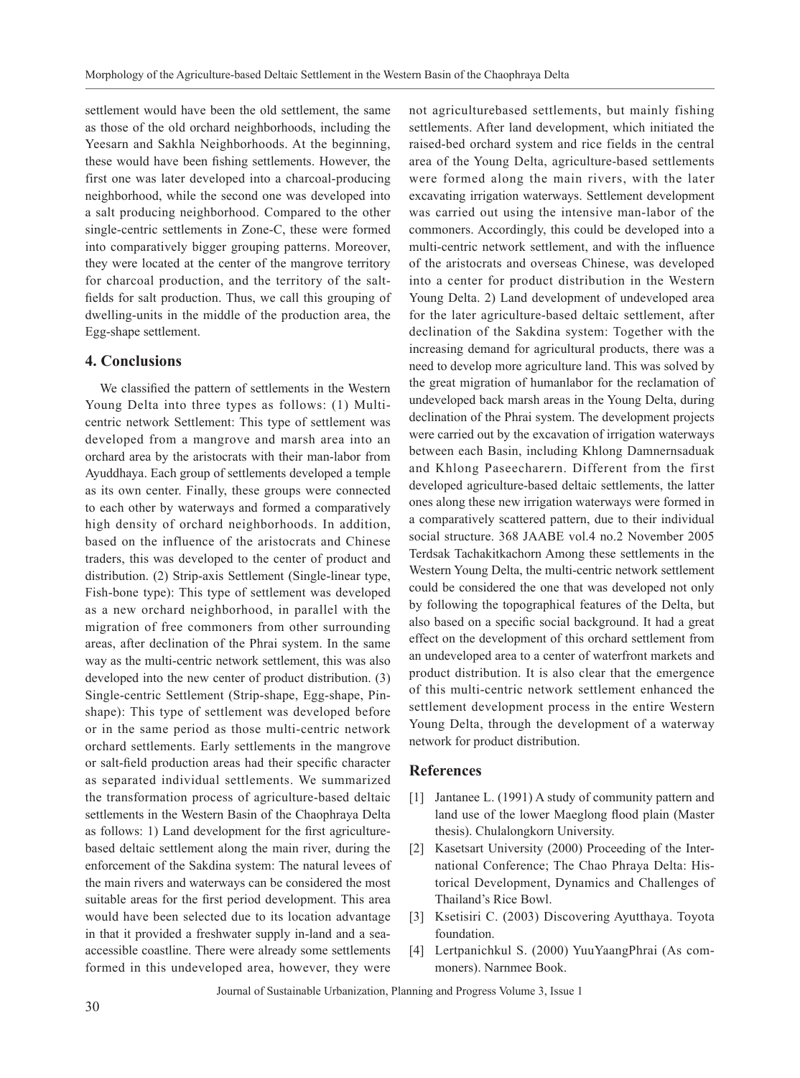settlement would have been the old settlement, the same as those of the old orchard neighborhoods, including the Yeesarn and Sakhla Neighborhoods. At the beginning, these would have been fishing settlements. However, the first one was later developed into a charcoal-producing neighborhood, while the second one was developed into a salt producing neighborhood. Compared to the other single-centric settlements in Zone-C, these were formed into comparatively bigger grouping patterns. Moreover, they were located at the center of the mangrove territory for charcoal production, and the territory of the saltfields for salt production. Thus, we call this grouping of dwelling-units in the middle of the production area, the Egg-shape settlement.

## **4. Conclusions**

We classified the pattern of settlements in the Western Young Delta into three types as follows: (1) Multicentric network Settlement: This type of settlement was developed from a mangrove and marsh area into an orchard area by the aristocrats with their man-labor from Ayuddhaya. Each group of settlements developed a temple as its own center. Finally, these groups were connected to each other by waterways and formed a comparatively high density of orchard neighborhoods. In addition, based on the influence of the aristocrats and Chinese traders, this was developed to the center of product and distribution. (2) Strip-axis Settlement (Single-linear type, Fish-bone type): This type of settlement was developed as a new orchard neighborhood, in parallel with the migration of free commoners from other surrounding areas, after declination of the Phrai system. In the same way as the multi-centric network settlement, this was also developed into the new center of product distribution. (3) Single-centric Settlement (Strip-shape, Egg-shape, Pinshape): This type of settlement was developed before or in the same period as those multi-centric network orchard settlements. Early settlements in the mangrove or salt-field production areas had their specific character as separated individual settlements. We summarized the transformation process of agriculture-based deltaic settlements in the Western Basin of the Chaophraya Delta as follows: 1) Land development for the first agriculturebased deltaic settlement along the main river, during the enforcement of the Sakdina system: The natural levees of the main rivers and waterways can be considered the most suitable areas for the first period development. This area would have been selected due to its location advantage in that it provided a freshwater supply in-land and a seaaccessible coastline. There were already some settlements formed in this undeveloped area, however, they were

not agriculturebased settlements, but mainly fishing settlements. After land development, which initiated the raised-bed orchard system and rice fields in the central area of the Young Delta, agriculture-based settlements were formed along the main rivers, with the later excavating irrigation waterways. Settlement development was carried out using the intensive man-labor of the commoners. Accordingly, this could be developed into a multi-centric network settlement, and with the influence of the aristocrats and overseas Chinese, was developed into a center for product distribution in the Western Young Delta. 2) Land development of undeveloped area for the later agriculture-based deltaic settlement, after declination of the Sakdina system: Together with the increasing demand for agricultural products, there was a need to develop more agriculture land. This was solved by the great migration of humanlabor for the reclamation of undeveloped back marsh areas in the Young Delta, during declination of the Phrai system. The development projects were carried out by the excavation of irrigation waterways between each Basin, including Khlong Damnernsaduak and Khlong Paseecharern. Different from the first developed agriculture-based deltaic settlements, the latter ones along these new irrigation waterways were formed in a comparatively scattered pattern, due to their individual social structure. 368 JAABE vol.4 no.2 November 2005 Terdsak Tachakitkachorn Among these settlements in the Western Young Delta, the multi-centric network settlement could be considered the one that was developed not only by following the topographical features of the Delta, but also based on a specific social background. It had a great effect on the development of this orchard settlement from an undeveloped area to a center of waterfront markets and product distribution. It is also clear that the emergence of this multi-centric network settlement enhanced the settlement development process in the entire Western Young Delta, through the development of a waterway network for product distribution.

#### **References**

- [1] Jantanee L. (1991) A study of community pattern and land use of the lower Maeglong flood plain (Master thesis). Chulalongkorn University.
- [2] Kasetsart University (2000) Proceeding of the International Conference; The Chao Phraya Delta: Historical Development, Dynamics and Challenges of Thailand's Rice Bowl.
- [3] Ksetisiri C. (2003) Discovering Ayutthaya. Toyota foundation.
- [4] Lertpanichkul S. (2000) YuuYaangPhrai (As commoners). Narnmee Book.